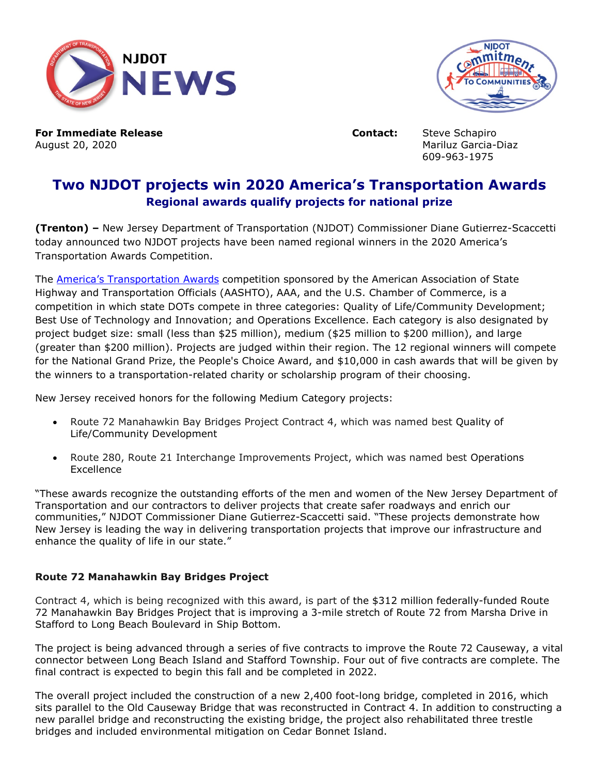



**For Immediate Release <b>Contact:** Steve Schapiro August 20, 2020 Mariluz Garcia-Diaz

609-963-1975

## **Two NJDOT projects win 2020 America's Transportation Awards Regional awards qualify projects for national prize**

**(Trenton) –** New Jersey Department of Transportation (NJDOT) Commissioner Diane Gutierrez-Scaccetti today announced two NJDOT projects have been named regional winners in the 2020 America's Transportation Awards Competition.

The [America's Transportation Awards](https://aashtojournal.org/2020/08/18/northeastern-state-dots-win-awards-for-transportation-projects/) competition sponsored by the American Association of State Highway and Transportation Officials (AASHTO), AAA, and the U.S. Chamber of Commerce, is a competition in which state DOTs compete in three categories: Quality of Life/Community Development; Best Use of Technology and Innovation; and Operations Excellence. Each category is also designated by project budget size: small (less than \$25 million), medium (\$25 million to \$200 million), and large (greater than \$200 million). Projects are judged within their region. The 12 regional winners will compete for the National Grand Prize, the People's Choice Award, and \$10,000 in cash awards that will be given by the winners to a transportation-related charity or scholarship program of their choosing.

New Jersey received honors for the following Medium Category projects:

- Route 72 Manahawkin Bay Bridges Project Contract 4, which was named best Quality of Life/Community Development
- Route 280, Route 21 Interchange Improvements Project, which was named best Operations **Excellence**

"These awards recognize the outstanding efforts of the men and women of the New Jersey Department of Transportation and our contractors to deliver projects that create safer roadways and enrich our communities," NJDOT Commissioner Diane Gutierrez-Scaccetti said. "These projects demonstrate how New Jersey is leading the way in delivering transportation projects that improve our infrastructure and enhance the quality of life in our state."

## **Route 72 Manahawkin Bay Bridges Project**

Contract 4, which is being recognized with this award, is part of the \$312 million federally-funded Route 72 Manahawkin Bay Bridges Project that is improving a 3-mile stretch of Route 72 from Marsha Drive in Stafford to Long Beach Boulevard in Ship Bottom.

The project is being advanced through a series of five contracts to improve the Route 72 Causeway, a vital connector between Long Beach Island and Stafford Township. Four out of five contracts are complete. The final contract is expected to begin this fall and be completed in 2022.

The overall project included the construction of a new 2,400 foot-long bridge, completed in 2016, which sits parallel to the Old Causeway Bridge that was reconstructed in Contract 4. In addition to constructing a new parallel bridge and reconstructing the existing bridge, the project also rehabilitated three trestle bridges and included environmental mitigation on Cedar Bonnet Island.